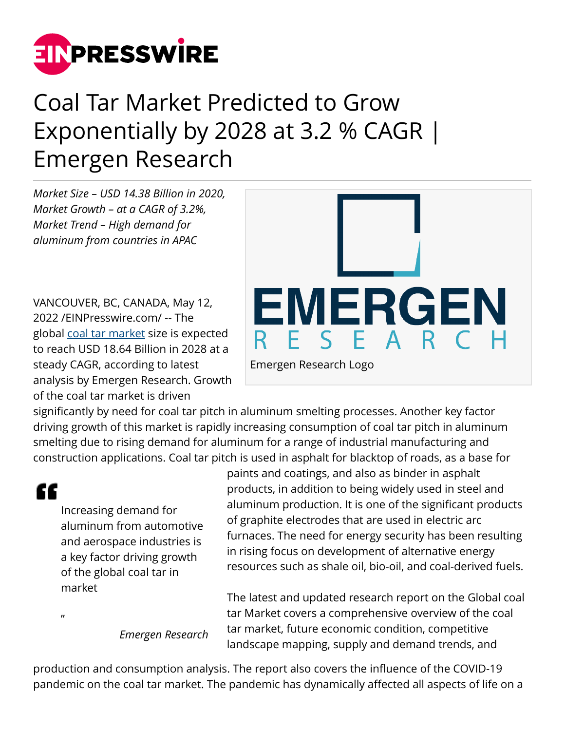

## Coal Tar Market Predicted to Grow Exponentially by 2028 at 3.2 % CAGR | Emergen Research

*Market Size – USD 14.38 Billion in 2020, Market Growth – at a CAGR of 3.2%, Market Trend – High demand for aluminum from countries in APAC*

VANCOUVER, BC, CANADA, May 12, 2022 /[EINPresswire.com](http://www.einpresswire.com)/ -- The global [coal tar market](https://www.emergenresearch.com/industry-report/coal-tar-market) size is expected to reach USD 18.64 Billion in 2028 at a steady CAGR, according to latest analysis by Emergen Research. Growth of the coal tar market is driven



significantly by need for coal tar pitch in aluminum smelting processes. Another key factor driving growth of this market is rapidly increasing consumption of coal tar pitch in aluminum smelting due to rising demand for aluminum for a range of industrial manufacturing and construction applications. Coal tar pitch is used in asphalt for blacktop of roads, as a base for

"

 $\mathbf{u}$ 

Increasing demand for aluminum from automotive and aerospace industries is a key factor driving growth of the global coal tar in market

paints and coatings, and also as binder in asphalt products, in addition to being widely used in steel and aluminum production. It is one of the significant products of graphite electrodes that are used in electric arc furnaces. The need for energy security has been resulting in rising focus on development of alternative energy resources such as shale oil, bio-oil, and coal-derived fuels.

*Emergen Research*

The latest and updated research report on the Global coal tar Market covers a comprehensive overview of the coal tar market, future economic condition, competitive landscape mapping, supply and demand trends, and

production and consumption analysis. The report also covers the influence of the COVID-19 pandemic on the coal tar market. The pandemic has dynamically affected all aspects of life on a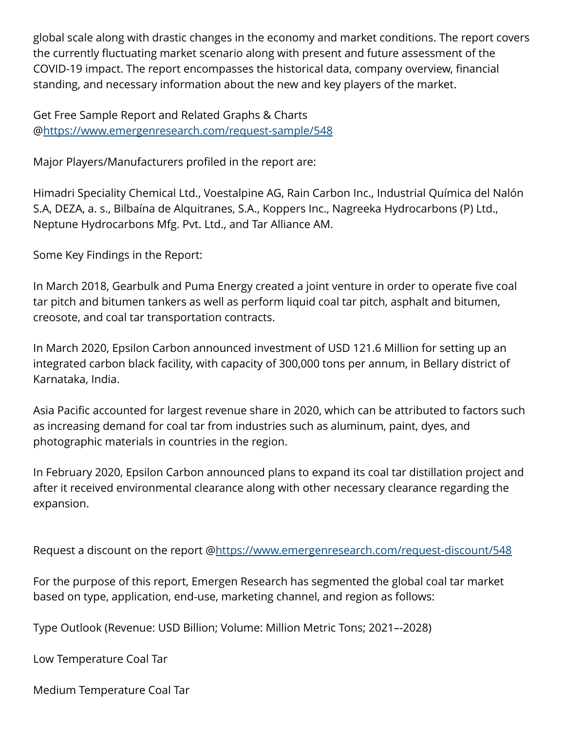global scale along with drastic changes in the economy and market conditions. The report covers the currently fluctuating market scenario along with present and future assessment of the COVID-19 impact. The report encompasses the historical data, company overview, financial standing, and necessary information about the new and key players of the market.

Get Free Sample Report and Related Graphs & Charts @<https://www.emergenresearch.com/request-sample/548>

Major Players/Manufacturers profiled in the report are:

Himadri Speciality Chemical Ltd., Voestalpine AG, Rain Carbon Inc., Industrial Química del Nalón S.A, DEZA, a. s., Bilbaína de Alquitranes, S.A., Koppers Inc., Nagreeka Hydrocarbons (P) Ltd., Neptune Hydrocarbons Mfg. Pvt. Ltd., and Tar Alliance AM.

Some Key Findings in the Report:

In March 2018, Gearbulk and Puma Energy created a joint venture in order to operate five coal tar pitch and bitumen tankers as well as perform liquid coal tar pitch, asphalt and bitumen, creosote, and coal tar transportation contracts.

In March 2020, Epsilon Carbon announced investment of USD 121.6 Million for setting up an integrated carbon black facility, with capacity of 300,000 tons per annum, in Bellary district of Karnataka, India.

Asia Pacific accounted for largest revenue share in 2020, which can be attributed to factors such as increasing demand for coal tar from industries such as aluminum, paint, dyes, and photographic materials in countries in the region.

In February 2020, Epsilon Carbon announced plans to expand its coal tar distillation project and after it received environmental clearance along with other necessary clearance regarding the expansion.

Request a discount on the report @<https://www.emergenresearch.com/request-discount/548>

For the purpose of this report, Emergen Research has segmented the global coal tar market based on type, application, end-use, marketing channel, and region as follows:

Type Outlook (Revenue: USD Billion; Volume: Million Metric Tons; 2021–-2028)

Low Temperature Coal Tar

Medium Temperature Coal Tar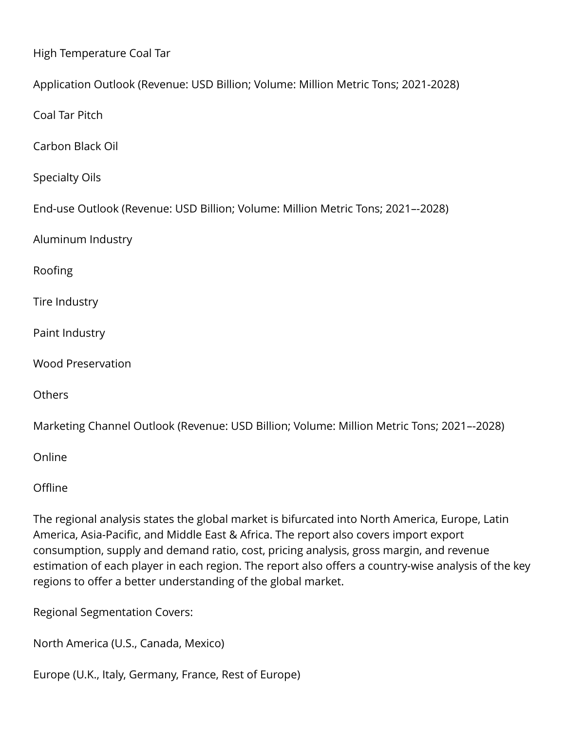High Temperature Coal Tar Application Outlook (Revenue: USD Billion; Volume: Million Metric Tons; 2021-2028) Coal Tar Pitch Carbon Black Oil Specialty Oils End-use Outlook (Revenue: USD Billion; Volume: Million Metric Tons; 2021–-2028) Aluminum Industry Roofing Tire Industry Paint Industry Wood Preservation **Others** 

Marketing Channel Outlook (Revenue: USD Billion; Volume: Million Metric Tons; 2021–-2028)

Online

**Offline** 

The regional analysis states the global market is bifurcated into North America, Europe, Latin America, Asia-Pacific, and Middle East & Africa. The report also covers import export consumption, supply and demand ratio, cost, pricing analysis, gross margin, and revenue estimation of each player in each region. The report also offers a country-wise analysis of the key regions to offer a better understanding of the global market.

Regional Segmentation Covers:

North America (U.S., Canada, Mexico)

Europe (U.K., Italy, Germany, France, Rest of Europe)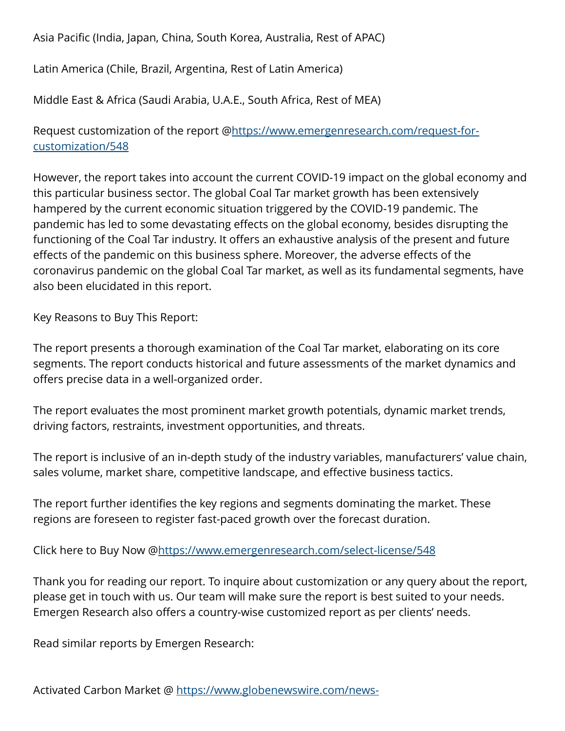Asia Pacific (India, Japan, China, South Korea, Australia, Rest of APAC)

Latin America (Chile, Brazil, Argentina, Rest of Latin America)

Middle East & Africa (Saudi Arabia, U.A.E., South Africa, Rest of MEA)

Request customization of the report [@https://www.emergenresearch.com/request-for](https://www.emergenresearch.com/request-for-customization/548)[customization/548](https://www.emergenresearch.com/request-for-customization/548)

However, the report takes into account the current COVID-19 impact on the global economy and this particular business sector. The global Coal Tar market growth has been extensively hampered by the current economic situation triggered by the COVID-19 pandemic. The pandemic has led to some devastating effects on the global economy, besides disrupting the functioning of the Coal Tar industry. It offers an exhaustive analysis of the present and future effects of the pandemic on this business sphere. Moreover, the adverse effects of the coronavirus pandemic on the global Coal Tar market, as well as its fundamental segments, have also been elucidated in this report.

Key Reasons to Buy This Report:

The report presents a thorough examination of the Coal Tar market, elaborating on its core segments. The report conducts historical and future assessments of the market dynamics and offers precise data in a well-organized order.

The report evaluates the most prominent market growth potentials, dynamic market trends, driving factors, restraints, investment opportunities, and threats.

The report is inclusive of an in-depth study of the industry variables, manufacturers' value chain, sales volume, market share, competitive landscape, and effective business tactics.

The report further identifies the key regions and segments dominating the market. These regions are foreseen to register fast-paced growth over the forecast duration.

Click here to Buy Now [@https://www.emergenresearch.com/select-license/548](https://www.emergenresearch.com/select-license/548)

Thank you for reading our report. To inquire about customization or any query about the report, please get in touch with us. Our team will make sure the report is best suited to your needs. Emergen Research also offers a country-wise customized report as per clients' needs.

Read similar reports by Emergen Research: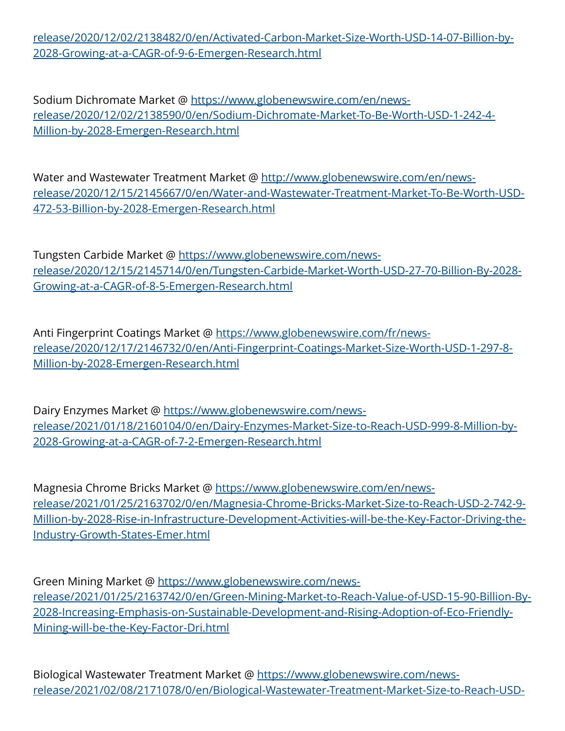[release/2020/12/02/2138482/0/en/Activated-Carbon-Market-Size-Worth-USD-14-07-Billion-by-](https://www.globenewswire.com/news-release/2020/12/02/2138482/0/en/Activated-Carbon-Market-Size-Worth-USD-14-07-Billion-by-2028-Growing-at-a-CAGR-of-9-6-Emergen-Research.html)[2028-Growing-at-a-CAGR-of-9-6-Emergen-Research.html](https://www.globenewswire.com/news-release/2020/12/02/2138482/0/en/Activated-Carbon-Market-Size-Worth-USD-14-07-Billion-by-2028-Growing-at-a-CAGR-of-9-6-Emergen-Research.html)

Sodium Dichromate Market @ [https://www.globenewswire.com/en/news](https://www.globenewswire.com/en/news-release/2020/12/02/2138590/0/en/Sodium-Dichromate-Market-To-Be-Worth-USD-1-242-4-Million-by-2028-Emergen-Research.html)[release/2020/12/02/2138590/0/en/Sodium-Dichromate-Market-To-Be-Worth-USD-1-242-4-](https://www.globenewswire.com/en/news-release/2020/12/02/2138590/0/en/Sodium-Dichromate-Market-To-Be-Worth-USD-1-242-4-Million-by-2028-Emergen-Research.html) [Million-by-2028-Emergen-Research.html](https://www.globenewswire.com/en/news-release/2020/12/02/2138590/0/en/Sodium-Dichromate-Market-To-Be-Worth-USD-1-242-4-Million-by-2028-Emergen-Research.html)

Water and Wastewater Treatment Market @ [http://www.globenewswire.com/en/news](http://www.globenewswire.com/en/news-release/2020/12/15/2145667/0/en/Water-and-Wastewater-Treatment-Market-To-Be-Worth-USD-472-53-Billion-by-2028-Emergen-Research.html)[release/2020/12/15/2145667/0/en/Water-and-Wastewater-Treatment-Market-To-Be-Worth-USD-](http://www.globenewswire.com/en/news-release/2020/12/15/2145667/0/en/Water-and-Wastewater-Treatment-Market-To-Be-Worth-USD-472-53-Billion-by-2028-Emergen-Research.html)[472-53-Billion-by-2028-Emergen-Research.html](http://www.globenewswire.com/en/news-release/2020/12/15/2145667/0/en/Water-and-Wastewater-Treatment-Market-To-Be-Worth-USD-472-53-Billion-by-2028-Emergen-Research.html)

Tungsten Carbide Market @ [https://www.globenewswire.com/news](https://www.globenewswire.com/news-release/2020/12/15/2145714/0/en/Tungsten-Carbide-Market-Worth-USD-27-70-Billion-By-2028-Growing-at-a-CAGR-of-8-5-Emergen-Research.html)[release/2020/12/15/2145714/0/en/Tungsten-Carbide-Market-Worth-USD-27-70-Billion-By-2028-](https://www.globenewswire.com/news-release/2020/12/15/2145714/0/en/Tungsten-Carbide-Market-Worth-USD-27-70-Billion-By-2028-Growing-at-a-CAGR-of-8-5-Emergen-Research.html) [Growing-at-a-CAGR-of-8-5-Emergen-Research.html](https://www.globenewswire.com/news-release/2020/12/15/2145714/0/en/Tungsten-Carbide-Market-Worth-USD-27-70-Billion-By-2028-Growing-at-a-CAGR-of-8-5-Emergen-Research.html)

Anti Fingerprint Coatings Market @ [https://www.globenewswire.com/fr/news](https://www.globenewswire.com/fr/news-release/2020/12/17/2146732/0/en/Anti-Fingerprint-Coatings-Market-Size-Worth-USD-1-297-8-Million-by-2028-Emergen-Research.html)[release/2020/12/17/2146732/0/en/Anti-Fingerprint-Coatings-Market-Size-Worth-USD-1-297-8-](https://www.globenewswire.com/fr/news-release/2020/12/17/2146732/0/en/Anti-Fingerprint-Coatings-Market-Size-Worth-USD-1-297-8-Million-by-2028-Emergen-Research.html) [Million-by-2028-Emergen-Research.html](https://www.globenewswire.com/fr/news-release/2020/12/17/2146732/0/en/Anti-Fingerprint-Coatings-Market-Size-Worth-USD-1-297-8-Million-by-2028-Emergen-Research.html)

Dairy Enzymes Market @ [https://www.globenewswire.com/news](https://www.globenewswire.com/news-release/2021/01/18/2160104/0/en/Dairy-Enzymes-Market-Size-to-Reach-USD-999-8-Million-by-2028-Growing-at-a-CAGR-of-7-2-Emergen-Research.html)[release/2021/01/18/2160104/0/en/Dairy-Enzymes-Market-Size-to-Reach-USD-999-8-Million-by-](https://www.globenewswire.com/news-release/2021/01/18/2160104/0/en/Dairy-Enzymes-Market-Size-to-Reach-USD-999-8-Million-by-2028-Growing-at-a-CAGR-of-7-2-Emergen-Research.html)[2028-Growing-at-a-CAGR-of-7-2-Emergen-Research.html](https://www.globenewswire.com/news-release/2021/01/18/2160104/0/en/Dairy-Enzymes-Market-Size-to-Reach-USD-999-8-Million-by-2028-Growing-at-a-CAGR-of-7-2-Emergen-Research.html)

Magnesia Chrome Bricks Market @ [https://www.globenewswire.com/en/news](https://www.globenewswire.com/en/news-release/2021/01/25/2163702/0/en/Magnesia-Chrome-Bricks-Market-Size-to-Reach-USD-2-742-9-Million-by-2028-Rise-in-Infrastructure-Development-Activities-will-be-the-Key-Factor-Driving-the-Industry-Growth-States-Emer.html)[release/2021/01/25/2163702/0/en/Magnesia-Chrome-Bricks-Market-Size-to-Reach-USD-2-742-9-](https://www.globenewswire.com/en/news-release/2021/01/25/2163702/0/en/Magnesia-Chrome-Bricks-Market-Size-to-Reach-USD-2-742-9-Million-by-2028-Rise-in-Infrastructure-Development-Activities-will-be-the-Key-Factor-Driving-the-Industry-Growth-States-Emer.html) [Million-by-2028-Rise-in-Infrastructure-Development-Activities-will-be-the-Key-Factor-Driving-the-](https://www.globenewswire.com/en/news-release/2021/01/25/2163702/0/en/Magnesia-Chrome-Bricks-Market-Size-to-Reach-USD-2-742-9-Million-by-2028-Rise-in-Infrastructure-Development-Activities-will-be-the-Key-Factor-Driving-the-Industry-Growth-States-Emer.html)[Industry-Growth-States-Emer.html](https://www.globenewswire.com/en/news-release/2021/01/25/2163702/0/en/Magnesia-Chrome-Bricks-Market-Size-to-Reach-USD-2-742-9-Million-by-2028-Rise-in-Infrastructure-Development-Activities-will-be-the-Key-Factor-Driving-the-Industry-Growth-States-Emer.html)

Green Mining Market @ [https://www.globenewswire.com/news](https://www.globenewswire.com/news-release/2021/01/25/2163742/0/en/Green-Mining-Market-to-Reach-Value-of-USD-15-90-Billion-By-2028-Increasing-Emphasis-on-Sustainable-Development-and-Rising-Adoption-of-Eco-Friendly-Mining-will-be-the-Key-Factor-Dri.html)[release/2021/01/25/2163742/0/en/Green-Mining-Market-to-Reach-Value-of-USD-15-90-Billion-By-](https://www.globenewswire.com/news-release/2021/01/25/2163742/0/en/Green-Mining-Market-to-Reach-Value-of-USD-15-90-Billion-By-2028-Increasing-Emphasis-on-Sustainable-Development-and-Rising-Adoption-of-Eco-Friendly-Mining-will-be-the-Key-Factor-Dri.html)[2028-Increasing-Emphasis-on-Sustainable-Development-and-Rising-Adoption-of-Eco-Friendly-](https://www.globenewswire.com/news-release/2021/01/25/2163742/0/en/Green-Mining-Market-to-Reach-Value-of-USD-15-90-Billion-By-2028-Increasing-Emphasis-on-Sustainable-Development-and-Rising-Adoption-of-Eco-Friendly-Mining-will-be-the-Key-Factor-Dri.html)[Mining-will-be-the-Key-Factor-Dri.html](https://www.globenewswire.com/news-release/2021/01/25/2163742/0/en/Green-Mining-Market-to-Reach-Value-of-USD-15-90-Billion-By-2028-Increasing-Emphasis-on-Sustainable-Development-and-Rising-Adoption-of-Eco-Friendly-Mining-will-be-the-Key-Factor-Dri.html)

Biological Wastewater Treatment Market @ [https://www.globenewswire.com/news](https://www.globenewswire.com/news-release/2021/02/08/2171078/0/en/Biological-Wastewater-Treatment-Market-Size-to-Reach-USD-12-48-Billion-by-2028-Scarcity-of-Water-in-Developing-Economies-and-Developments-in-Molecular-Biology-Techniques-are-Drivin.html)[release/2021/02/08/2171078/0/en/Biological-Wastewater-Treatment-Market-Size-to-Reach-USD-](https://www.globenewswire.com/news-release/2021/02/08/2171078/0/en/Biological-Wastewater-Treatment-Market-Size-to-Reach-USD-12-48-Billion-by-2028-Scarcity-of-Water-in-Developing-Economies-and-Developments-in-Molecular-Biology-Techniques-are-Drivin.html)